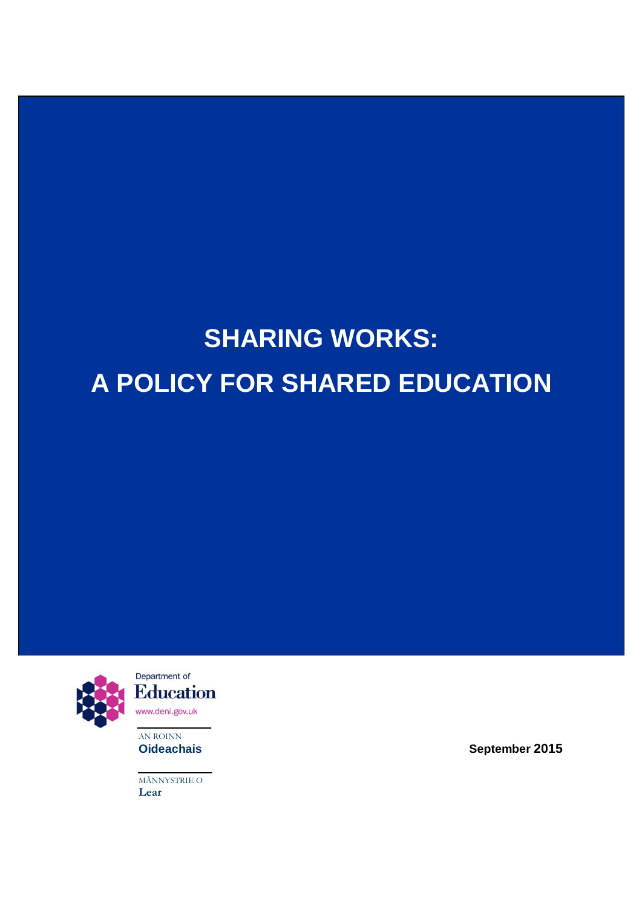# **SHARING WORKS: A POLICY FOR SHARED EDUCATION**



**AN ROINN**<br>**Oideachais** 

MÃNNYSTRIE O **Lear**

**Oideachais September 2015**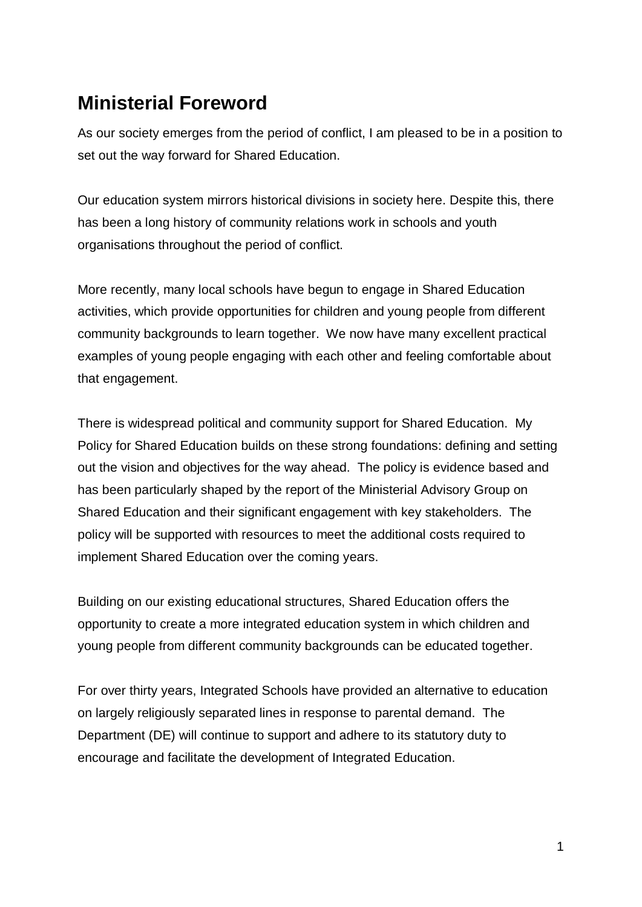# **Ministerial Foreword**

As our society emerges from the period of conflict, I am pleased to be in a position to set out the way forward for Shared Education.

Our education system mirrors historical divisions in society here. Despite this, there has been a long history of community relations work in schools and youth organisations throughout the period of conflict.

More recently, many local schools have begun to engage in Shared Education activities, which provide opportunities for children and young people from different community backgrounds to learn together. We now have many excellent practical examples of young people engaging with each other and feeling comfortable about that engagement.

There is widespread political and community support for Shared Education. My Policy for Shared Education builds on these strong foundations: defining and setting out the vision and objectives for the way ahead. The policy is evidence based and has been particularly shaped by the report of the Ministerial Advisory Group on Shared Education and their significant engagement with key stakeholders. The policy will be supported with resources to meet the additional costs required to implement Shared Education over the coming years.

Building on our existing educational structures, Shared Education offers the opportunity to create a more integrated education system in which children and young people from different community backgrounds can be educated together.

For over thirty years, Integrated Schools have provided an alternative to education on largely religiously separated lines in response to parental demand. The Department (DE) will continue to support and adhere to its statutory duty to encourage and facilitate the development of Integrated Education.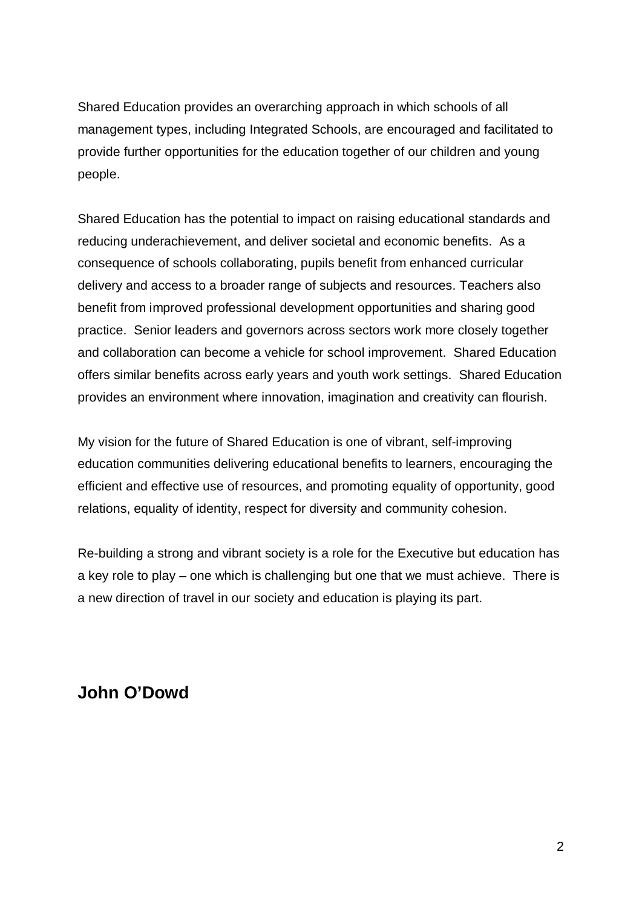Shared Education provides an overarching approach in which schools of all management types, including Integrated Schools, are encouraged and facilitated to provide further opportunities for the education together of our children and young people.

Shared Education has the potential to impact on raising educational standards and reducing underachievement, and deliver societal and economic benefits. As a consequence of schools collaborating, pupils benefit from enhanced curricular delivery and access to a broader range of subjects and resources. Teachers also benefit from improved professional development opportunities and sharing good practice. Senior leaders and governors across sectors work more closely together and collaboration can become a vehicle for school improvement. Shared Education offers similar benefits across early years and youth work settings. Shared Education provides an environment where innovation, imagination and creativity can flourish.

My vision for the future of Shared Education is one of vibrant, self-improving education communities delivering educational benefits to learners, encouraging the efficient and effective use of resources, and promoting equality of opportunity, good relations, equality of identity, respect for diversity and community cohesion.

Re-building a strong and vibrant society is a role for the Executive but education has a key role to play – one which is challenging but one that we must achieve. There is a new direction of travel in our society and education is playing its part.

# **John O'Dowd**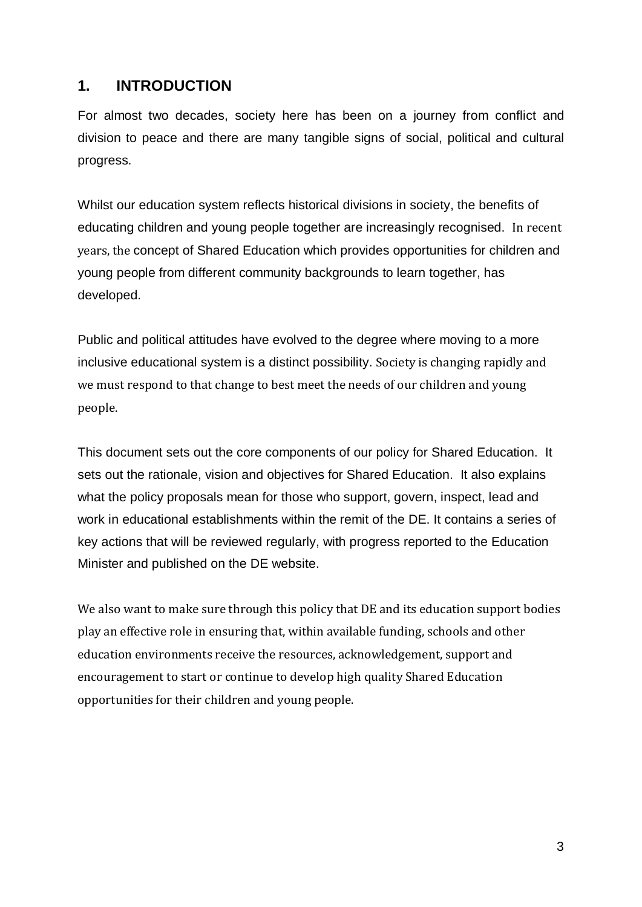#### **1. INTRODUCTION**

For almost two decades, society here has been on a journey from conflict and division to peace and there are many tangible signs of social, political and cultural progress.

Whilst our education system reflects historical divisions in society, the benefits of educating children and young people together are increasingly recognised. In recent years, the concept of Shared Education which provides opportunities for children and young people from different community backgrounds to learn together, has developed.

Public and political attitudes have evolved to the degree where moving to a more inclusive educational system is a distinct possibility. Society is changing rapidly and we must respond to that change to best meet the needs of our children and young people.

This document sets out the core components of our policy for Shared Education. It sets out the rationale, vision and objectives for Shared Education. It also explains what the policy proposals mean for those who support, govern, inspect, lead and work in educational establishments within the remit of the DE. It contains a series of key actions that will be reviewed regularly, with progress reported to the Education Minister and published on the DE website.

We also want to make sure through this policy that DE and its education support bodies play an effective role in ensuring that, within available funding, schools and other education environments receive the resources, acknowledgement, support and encouragement to start or continue to develop high quality Shared Education opportunities for their children and young people.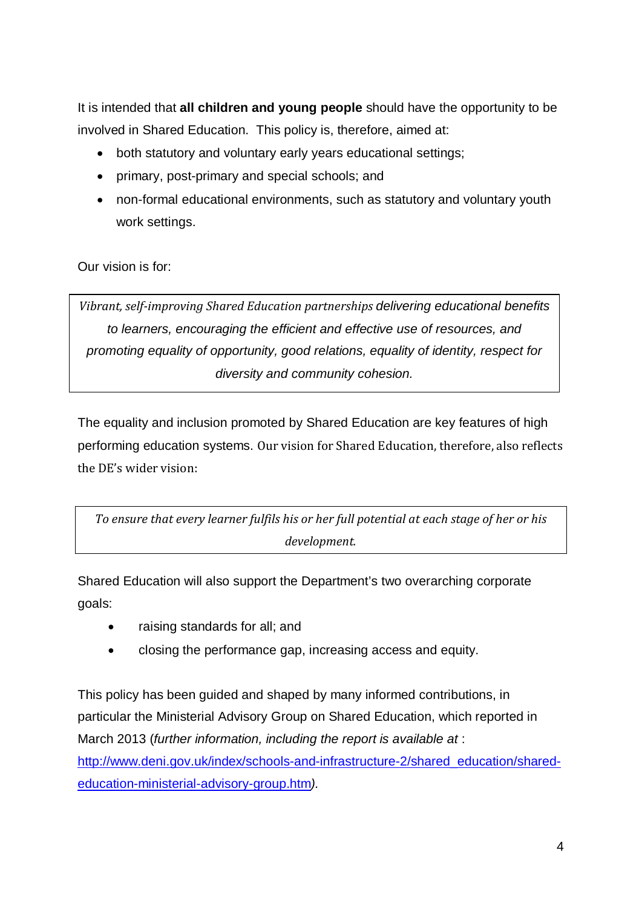It is intended that **all children and young people** should have the opportunity to be involved in Shared Education. This policy is, therefore, aimed at:

- both statutory and voluntary early years educational settings;
- primary, post-primary and special schools; and
- non-formal educational environments, such as statutory and voluntary youth work settings.

Our vision is for:

*Vibrant, self-improving Shared Education partnerships delivering educational benefits to learners, encouraging the efficient and effective use of resources, and promoting equality of opportunity, good relations, equality of identity, respect for diversity and community cohesion.*

The equality and inclusion promoted by Shared Education are key features of high performing education systems. Our vision for Shared Education, therefore, also reflects the DE's wider vision:

*To ensure that every learner fulfils his or her full potential at each stage of her or his development.*

Shared Education will also support the Department's two overarching corporate goals:

- raising standards for all; and
- closing the performance gap, increasing access and equity.

This policy has been guided and shaped by many informed contributions, in particular the Ministerial Advisory Group on Shared Education, which reported in March 2013 (*further information, including the report is available at* : http://www.deni.gov.uk/index/schools-and-infrastructure-2/shared education/shared[education-ministerial-advisory-group.htm](http://www.deni.gov.uk/index/schools-and-infrastructure-2/shared_education/shared-education-ministerial-advisory-group.htm)*).*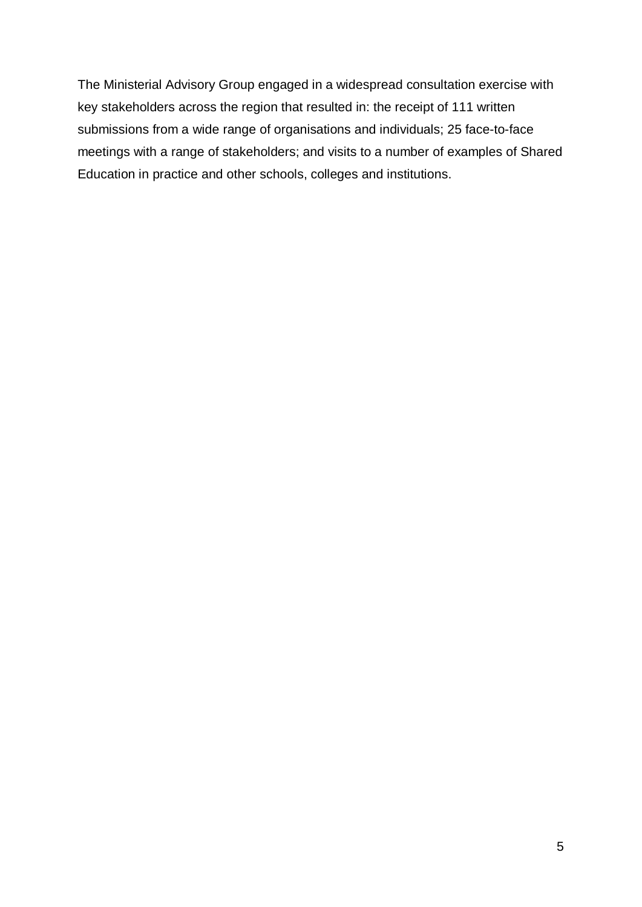The Ministerial Advisory Group engaged in a widespread consultation exercise with key stakeholders across the region that resulted in: the receipt of 111 written submissions from a wide range of organisations and individuals; 25 face-to-face meetings with a range of stakeholders; and visits to a number of examples of Shared Education in practice and other schools, colleges and institutions.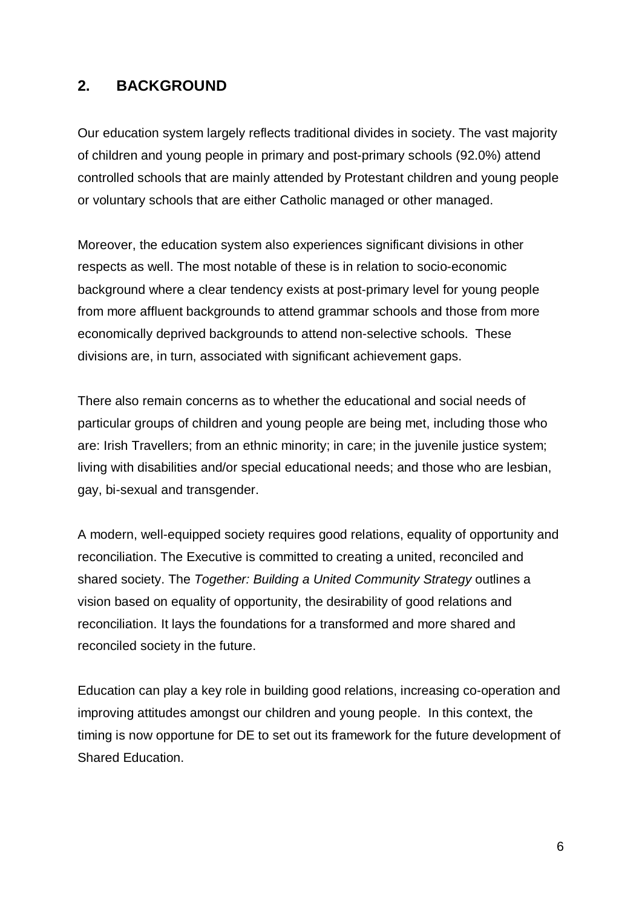#### **2. BACKGROUND**

Our education system largely reflects traditional divides in society. The vast majority of children and young people in primary and post-primary schools (92.0%) attend controlled schools that are mainly attended by Protestant children and young people or voluntary schools that are either Catholic managed or other managed.

Moreover, the education system also experiences significant divisions in other respects as well. The most notable of these is in relation to socio-economic background where a clear tendency exists at post-primary level for young people from more affluent backgrounds to attend grammar schools and those from more economically deprived backgrounds to attend non-selective schools. These divisions are, in turn, associated with significant achievement gaps.

There also remain concerns as to whether the educational and social needs of particular groups of children and young people are being met, including those who are: Irish Travellers; from an ethnic minority; in care; in the juvenile justice system; living with disabilities and/or special educational needs; and those who are lesbian, gay, bi-sexual and transgender.

A modern, well-equipped society requires good relations, equality of opportunity and reconciliation. The Executive is committed to creating a united, reconciled and shared society. The *Together: Building a United Community Strategy* outlines a vision based on equality of opportunity, the desirability of good relations and reconciliation. It lays the foundations for a transformed and more shared and reconciled society in the future.

Education can play a key role in building good relations, increasing co-operation and improving attitudes amongst our children and young people. In this context, the timing is now opportune for DE to set out its framework for the future development of Shared Education.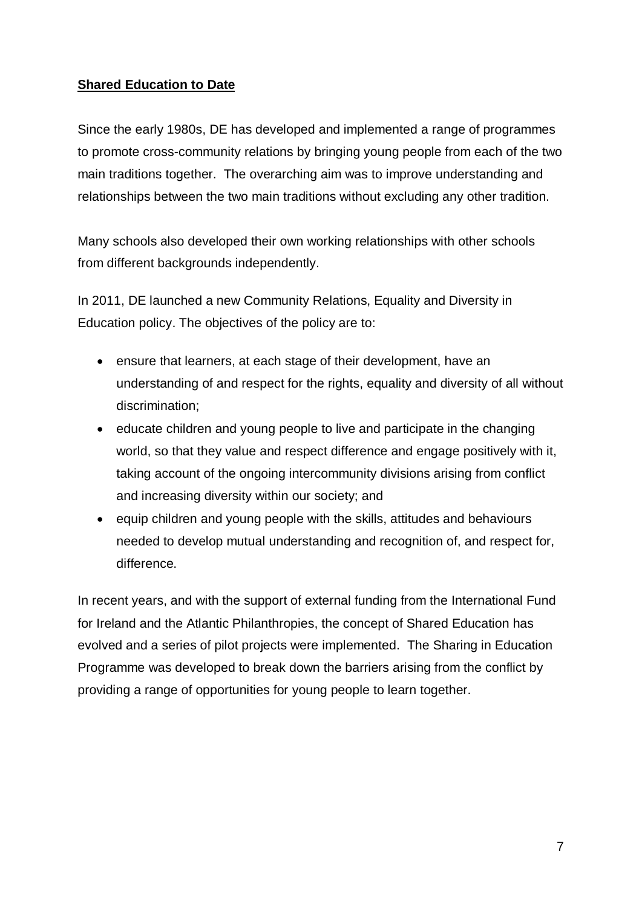#### **Shared Education to Date**

Since the early 1980s, DE has developed and implemented a range of programmes to promote cross-community relations by bringing young people from each of the two main traditions together. The overarching aim was to improve understanding and relationships between the two main traditions without excluding any other tradition.

Many schools also developed their own working relationships with other schools from different backgrounds independently.

In 2011, DE launched a new Community Relations, Equality and Diversity in Education policy. The objectives of the policy are to:

- ensure that learners, at each stage of their development, have an understanding of and respect for the rights, equality and diversity of all without discrimination;
- educate children and young people to live and participate in the changing world, so that they value and respect difference and engage positively with it, taking account of the ongoing intercommunity divisions arising from conflict and increasing diversity within our society; and
- equip children and young people with the skills, attitudes and behaviours needed to develop mutual understanding and recognition of, and respect for, difference.

In recent years, and with the support of external funding from the International Fund for Ireland and the Atlantic Philanthropies, the concept of Shared Education has evolved and a series of pilot projects were implemented. The Sharing in Education Programme was developed to break down the barriers arising from the conflict by providing a range of opportunities for young people to learn together.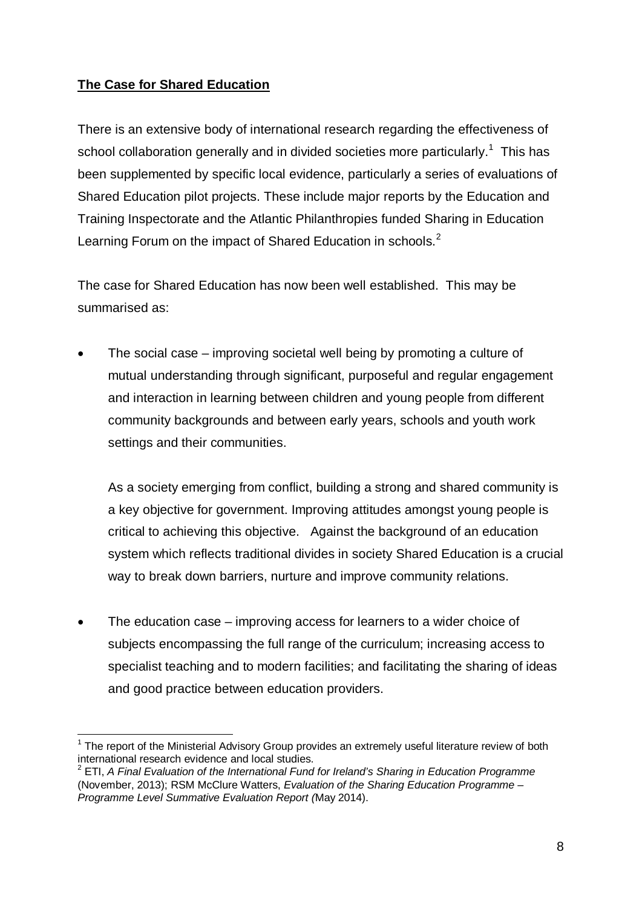#### **The Case for Shared Education**

There is an extensive body of international research regarding the effectiveness of school collaboration generally and in divided societies more particularly.<sup>[1](#page-8-0)</sup> This has been supplemented by specific local evidence, particularly a series of evaluations of Shared Education pilot projects. These include major reports by the Education and Training Inspectorate and the Atlantic Philanthropies funded Sharing in Education Learning Forum on the impact of Shared Education in schools.<sup>[2](#page-8-1)</sup>

The case for Shared Education has now been well established. This may be summarised as:

• The social case – improving societal well being by promoting a culture of mutual understanding through significant, purposeful and regular engagement and interaction in learning between children and young people from different community backgrounds and between early years, schools and youth work settings and their communities.

As a society emerging from conflict, building a strong and shared community is a key objective for government. Improving attitudes amongst young people is critical to achieving this objective. Against the background of an education system which reflects traditional divides in society Shared Education is a crucial way to break down barriers, nurture and improve community relations.

• The education case – improving access for learners to a wider choice of subjects encompassing the full range of the curriculum; increasing access to specialist teaching and to modern facilities; and facilitating the sharing of ideas and good practice between education providers.

<span id="page-8-0"></span> $1$  The report of the Ministerial Advisory Group provides an extremely useful literature review of both international research evidence and local studies.

<span id="page-8-1"></span><sup>2</sup> ETI, *A Final Evaluation of the International Fund for Ireland's Sharing in Education Programme* (November, 2013); RSM McClure Watters, *Evaluation of the Sharing Education Programme – Programme Level Summative Evaluation Report (*May 2014).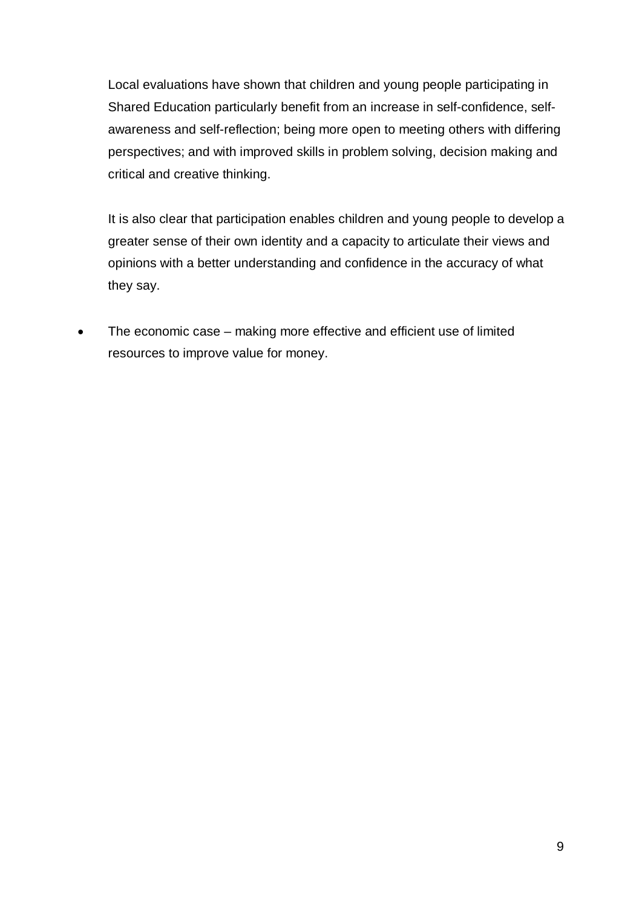Local evaluations have shown that children and young people participating in Shared Education particularly benefit from an increase in self-confidence, selfawareness and self-reflection; being more open to meeting others with differing perspectives; and with improved skills in problem solving, decision making and critical and creative thinking.

It is also clear that participation enables children and young people to develop a greater sense of their own identity and a capacity to articulate their views and opinions with a better understanding and confidence in the accuracy of what they say.

• The economic case – making more effective and efficient use of limited resources to improve value for money.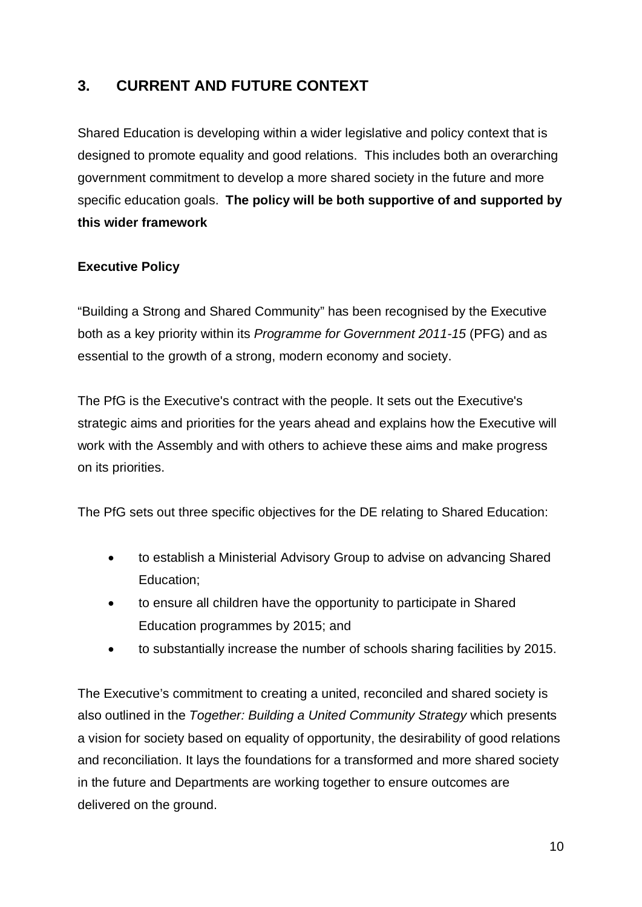### **3. CURRENT AND FUTURE CONTEXT**

Shared Education is developing within a wider legislative and policy context that is designed to promote equality and good relations. This includes both an overarching government commitment to develop a more shared society in the future and more specific education goals. **The policy will be both supportive of and supported by this wider framework** 

#### **Executive Policy**

"Building a Strong and Shared Community" has been recognised by the Executive both as a key priority within its *Programme for Government 2011-15* (PFG) and as essential to the growth of a strong, modern economy and society.

The PfG is the Executive's contract with the people. It sets out the Executive's strategic aims and priorities for the years ahead and explains how the Executive will work with the Assembly and with others to achieve these aims and make progress on its priorities.

The PfG sets out three specific objectives for the DE relating to Shared Education:

- to establish a Ministerial Advisory Group to advise on advancing Shared Education;
- to ensure all children have the opportunity to participate in Shared Education programmes by 2015; and
- to substantially increase the number of schools sharing facilities by 2015.

The Executive's commitment to creating a united, reconciled and shared society is also outlined in the *Together: Building a United Community Strategy* which presents a vision for society based on equality of opportunity, the desirability of good relations and reconciliation. It lays the foundations for a transformed and more shared society in the future and Departments are working together to ensure outcomes are delivered on the ground.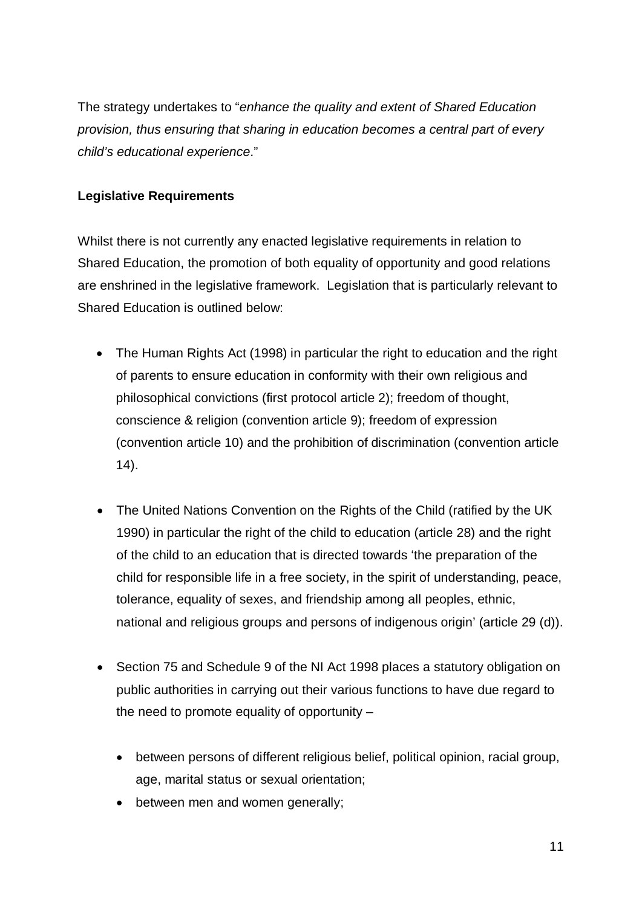The strategy undertakes to "*enhance the quality and extent of Shared Education provision, thus ensuring that sharing in education becomes a central part of every child's educational experience*."

#### **Legislative Requirements**

Whilst there is not currently any enacted legislative requirements in relation to Shared Education, the promotion of both equality of opportunity and good relations are enshrined in the legislative framework. Legislation that is particularly relevant to Shared Education is outlined below:

- The Human Rights Act (1998) in particular the right to education and the right of parents to ensure education in conformity with their own religious and philosophical convictions (first protocol article 2); freedom of thought, conscience & religion (convention article 9); freedom of expression (convention article 10) and the prohibition of discrimination (convention article 14).
- The United Nations Convention on the Rights of the Child (ratified by the UK 1990) in particular the right of the child to education (article 28) and the right of the child to an education that is directed towards 'the preparation of the child for responsible life in a free society, in the spirit of understanding, peace, tolerance, equality of sexes, and friendship among all peoples, ethnic, national and religious groups and persons of indigenous origin' (article 29 (d)).
- Section 75 and Schedule 9 of the NI Act 1998 places a statutory obligation on public authorities in carrying out their various functions to have due regard to the need to promote equality of opportunity –
	- between persons of different religious belief, political opinion, racial group, age, marital status or sexual orientation;
	- between men and women generally;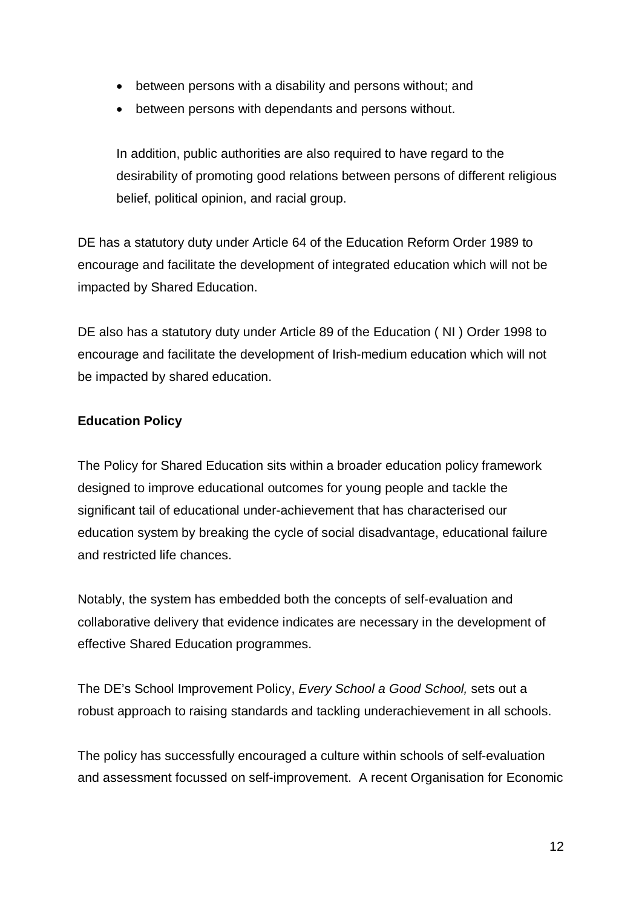- between persons with a disability and persons without; and
- between persons with dependants and persons without.

In addition, public authorities are also required to have regard to the desirability of promoting good relations between persons of different religious belief, political opinion, and racial group.

DE has a statutory duty under Article 64 of the Education Reform Order 1989 to encourage and facilitate the development of integrated education which will not be impacted by Shared Education.

DE also has a statutory duty under Article 89 of the Education ( NI ) Order 1998 to encourage and facilitate the development of Irish-medium education which will not be impacted by shared education.

#### **Education Policy**

The Policy for Shared Education sits within a broader education policy framework designed to improve educational outcomes for young people and tackle the significant tail of educational under-achievement that has characterised our education system by breaking the cycle of social disadvantage, educational failure and restricted life chances.

Notably, the system has embedded both the concepts of self-evaluation and collaborative delivery that evidence indicates are necessary in the development of effective Shared Education programmes.

The DE's School Improvement Policy, *Every School a Good School,* sets out a robust approach to raising standards and tackling underachievement in all schools.

The policy has successfully encouraged a culture within schools of self-evaluation and assessment focussed on self-improvement. A recent Organisation for Economic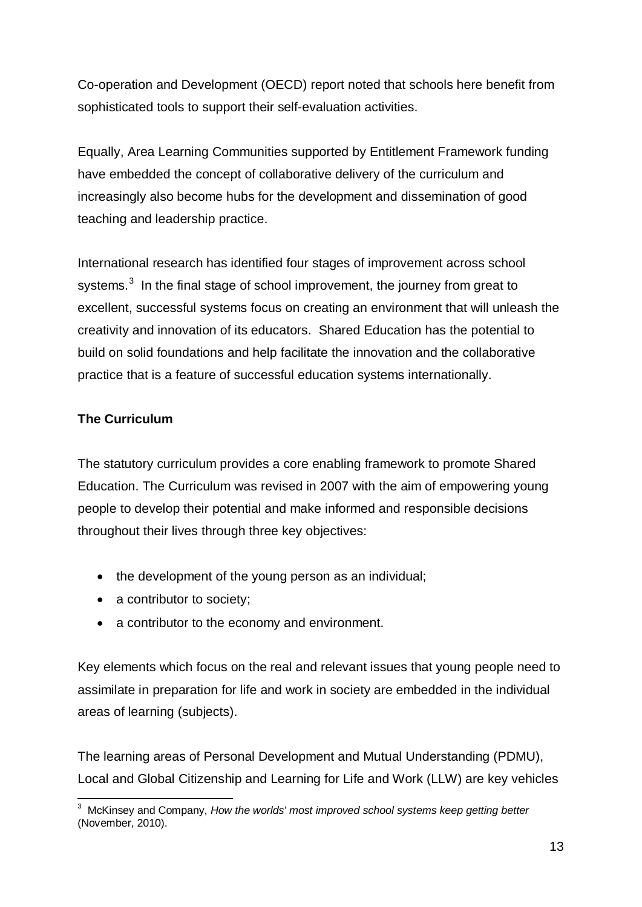Co-operation and Development (OECD) report noted that schools here benefit from sophisticated tools to support their self-evaluation activities.

Equally, Area Learning Communities supported by Entitlement Framework funding have embedded the concept of collaborative delivery of the curriculum and increasingly also become hubs for the development and dissemination of good teaching and leadership practice.

International research has identified four stages of improvement across school systems.<sup>[3](#page-13-0)</sup> In the final stage of school improvement, the journey from great to excellent, successful systems focus on creating an environment that will unleash the creativity and innovation of its educators. Shared Education has the potential to build on solid foundations and help facilitate the innovation and the collaborative practice that is a feature of successful education systems internationally.

#### **The Curriculum**

The statutory curriculum provides a core enabling framework to promote Shared Education. The Curriculum was revised in 2007 with the aim of empowering young people to develop their potential and make informed and responsible decisions throughout their lives through three key objectives:

- the development of the young person as an individual;
- a contributor to society;
- a contributor to the economy and environment.

Key elements which focus on the real and relevant issues that young people need to assimilate in preparation for life and work in society are embedded in the individual areas of learning (subjects).

The learning areas of Personal Development and Mutual Understanding (PDMU), Local and Global Citizenship and Learning for Life and Work (LLW) are key vehicles

<span id="page-13-0"></span> <sup>3</sup> McKinsey and Company, *How the worlds' most improved school systems keep getting better* (November, 2010).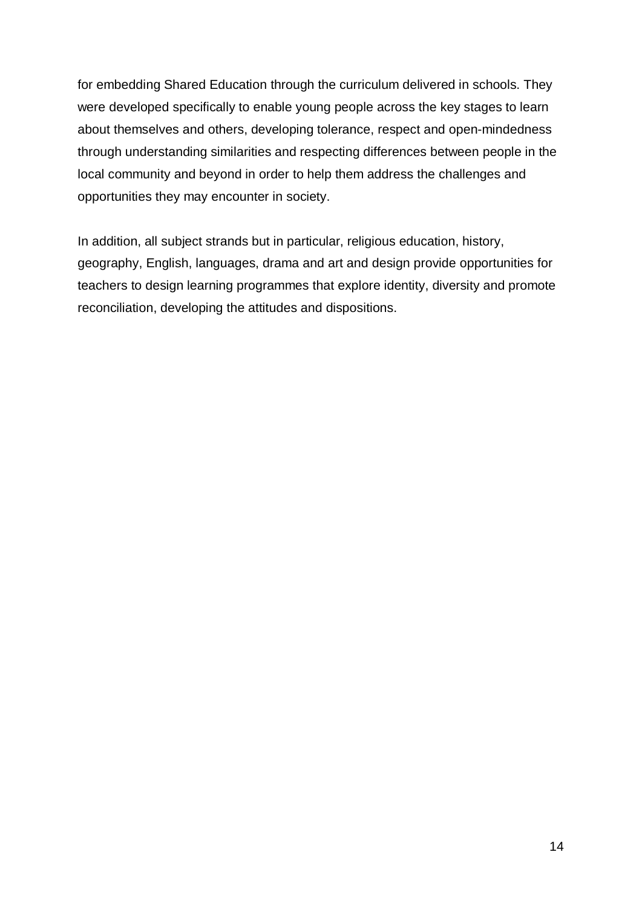for embedding Shared Education through the curriculum delivered in schools. They were developed specifically to enable young people across the key stages to learn about themselves and others, developing tolerance, respect and open-mindedness through understanding similarities and respecting differences between people in the local community and beyond in order to help them address the challenges and opportunities they may encounter in society.

In addition, all subject strands but in particular, religious education, history, geography, English, languages, drama and art and design provide opportunities for teachers to design learning programmes that explore identity, diversity and promote reconciliation, developing the attitudes and dispositions.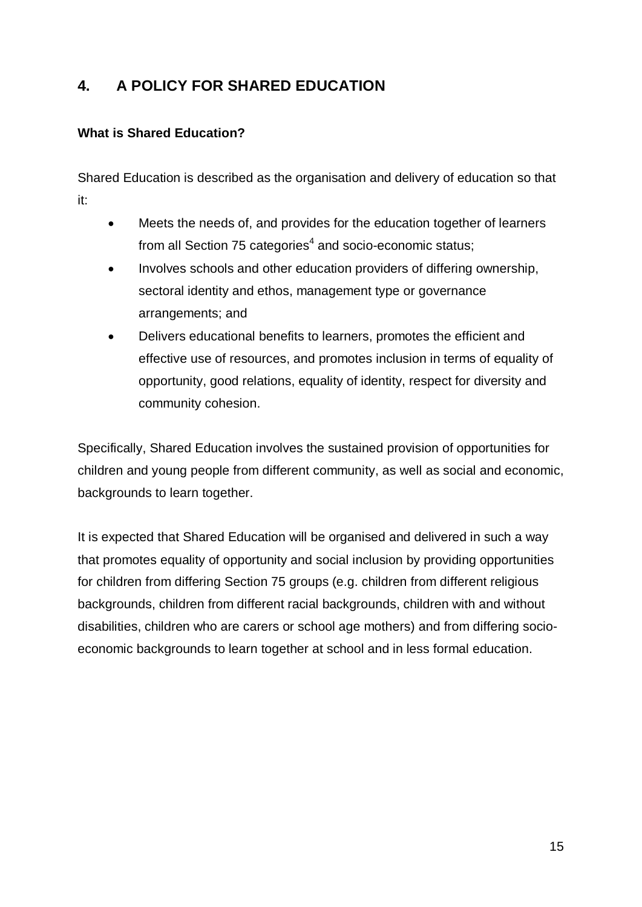# **4. A POLICY FOR SHARED EDUCATION**

#### **What is Shared Education?**

Shared Education is described as the organisation and delivery of education so that it:

- Meets the needs of, and provides for the education together of learners from all Section 75 categories $4$  and socio-economic status;
- Involves schools and other education providers of differing ownership, sectoral identity and ethos, management type or governance arrangements; and
- Delivers educational benefits to learners, promotes the efficient and effective use of resources, and promotes inclusion in terms of equality of opportunity, good relations, equality of identity, respect for diversity and community cohesion.

Specifically, Shared Education involves the sustained provision of opportunities for children and young people from different community, as well as social and economic, backgrounds to learn together.

It is expected that Shared Education will be organised and delivered in such a way that promotes equality of opportunity and social inclusion by providing opportunities for children from differing Section 75 groups (e.g. children from different religious backgrounds, children from different racial backgrounds, children with and without disabilities, children who are carers or school age mothers) and from differing socioeconomic backgrounds to learn together at school and in less formal education.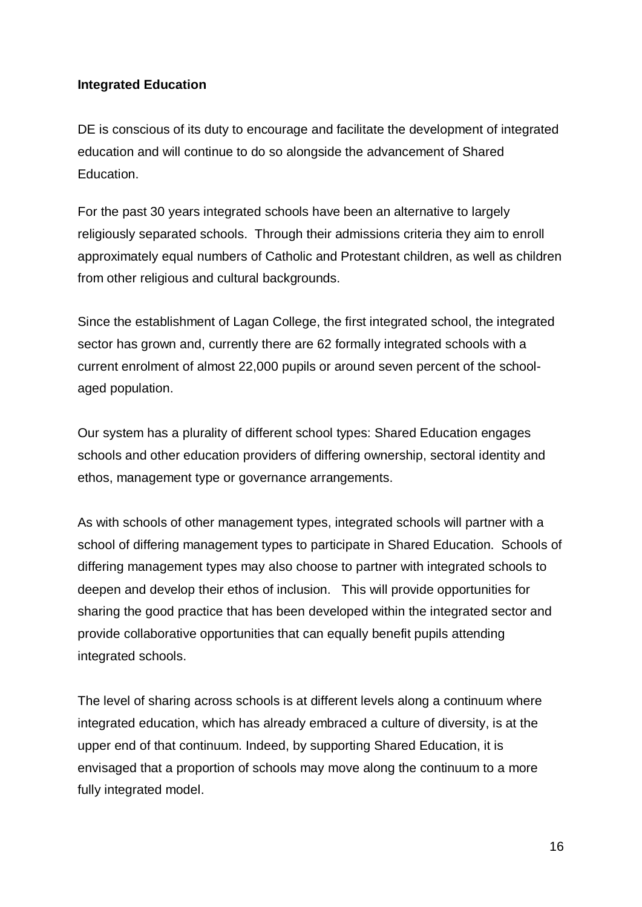#### **Integrated Education**

DE is conscious of its duty to encourage and facilitate the development of integrated education and will continue to do so alongside the advancement of Shared Education.

For the past 30 years integrated schools have been an alternative to largely religiously separated schools. Through their admissions criteria they aim to enroll approximately equal numbers of Catholic and Protestant children, as well as children from other religious and cultural backgrounds.

Since the establishment of Lagan College, the first integrated school, the integrated sector has grown and, currently there are 62 formally integrated schools with a current enrolment of almost 22,000 pupils or around seven percent of the schoolaged population.

Our system has a plurality of different school types: Shared Education engages schools and other education providers of differing ownership, sectoral identity and ethos, management type or governance arrangements.

As with schools of other management types, integrated schools will partner with a school of differing management types to participate in Shared Education. Schools of differing management types may also choose to partner with integrated schools to deepen and develop their ethos of inclusion. This will provide opportunities for sharing the good practice that has been developed within the integrated sector and provide collaborative opportunities that can equally benefit pupils attending integrated schools.

The level of sharing across schools is at different levels along a continuum where integrated education, which has already embraced a culture of diversity, is at the upper end of that continuum. Indeed, by supporting Shared Education, it is envisaged that a proportion of schools may move along the continuum to a more fully integrated model.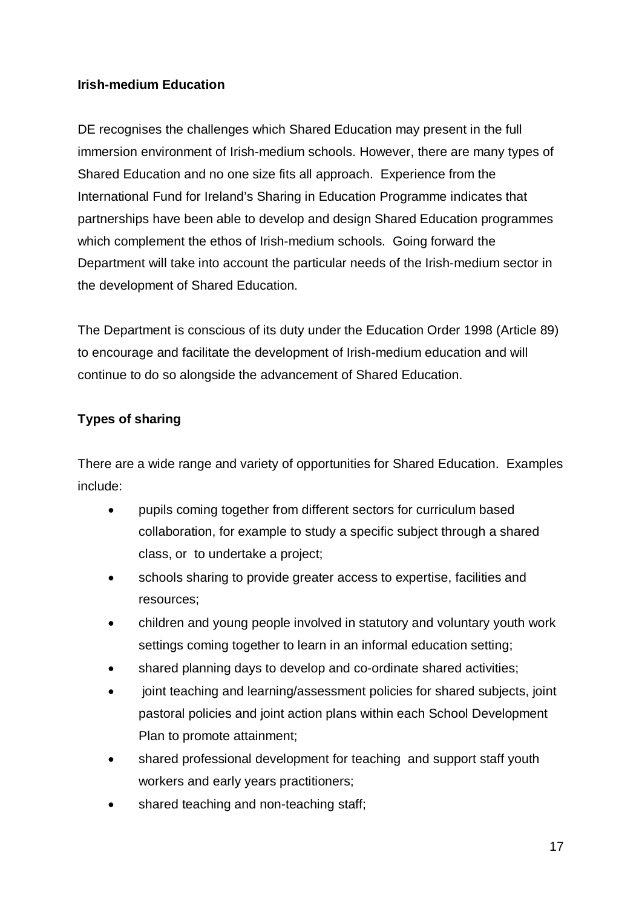#### **Irish-medium Education**

DE recognises the challenges which Shared Education may present in the full immersion environment of Irish-medium schools. However, there are many types of Shared Education and no one size fits all approach. Experience from the International Fund for Ireland's Sharing in Education Programme indicates that partnerships have been able to develop and design Shared Education programmes which complement the ethos of Irish-medium schools. Going forward the Department will take into account the particular needs of the Irish-medium sector in the development of Shared Education.

The Department is conscious of its duty under the Education Order 1998 (Article 89) to encourage and facilitate the development of Irish-medium education and will continue to do so alongside the advancement of Shared Education.

#### **Types of sharing**

There are a wide range and variety of opportunities for Shared Education. Examples include:

- pupils coming together from different sectors for curriculum based collaboration, for example to study a specific subject through a shared class, or to undertake a project;
- schools sharing to provide greater access to expertise, facilities and resources;
- children and young people involved in statutory and voluntary youth work settings coming together to learn in an informal education setting;
- shared planning days to develop and co-ordinate shared activities;
- joint teaching and learning/assessment policies for shared subjects, joint pastoral policies and joint action plans within each School Development Plan to promote attainment;
- shared professional development for teaching and support staff youth workers and early years practitioners;
- shared teaching and non-teaching staff;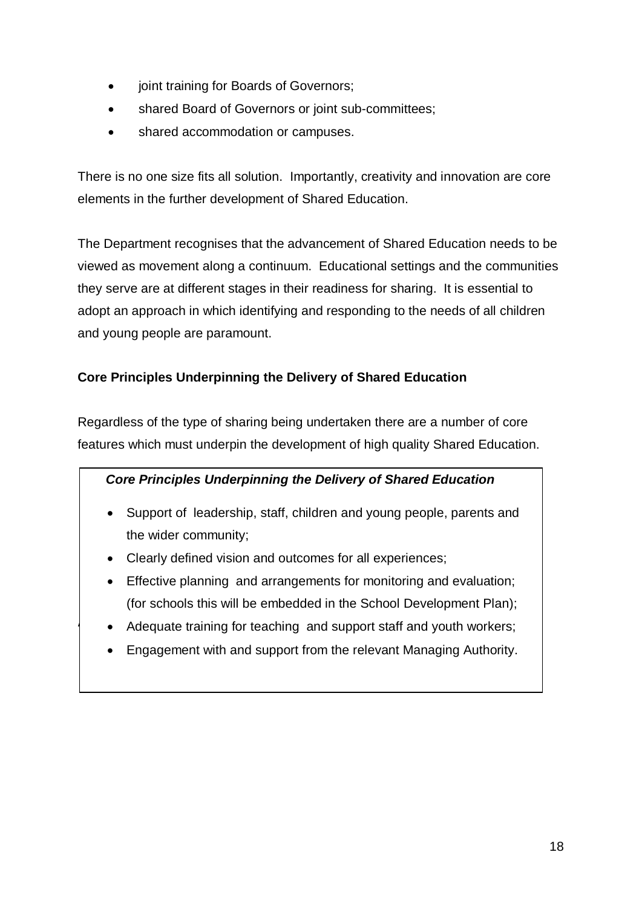- joint training for Boards of Governors;
- shared Board of Governors or joint sub-committees;
- shared accommodation or campuses.

There is no one size fits all solution. Importantly, creativity and innovation are core elements in the further development of Shared Education.

The Department recognises that the advancement of Shared Education needs to be viewed as movement along a continuum. Educational settings and the communities they serve are at different stages in their readiness for sharing. It is essential to adopt an approach in which identifying and responding to the needs of all children and young people are paramount.

#### **Core Principles Underpinning the Delivery of Shared Education**

Regardless of the type of sharing being undertaken there are a number of core features which must underpin the development of high quality Shared Education.

#### *Core Principles Underpinning the Delivery of Shared Education*

- Support of leadership, staff, children and young people, parents and the wider community;
- Clearly defined vision and outcomes for all experiences;
- Effective planning and arrangements for monitoring and evaluation; (for schools this will be embedded in the School Development Plan);
- **AIMS** Adequate training for teaching and support staff and youth workers;
	- Engagement with and support from the relevant Managing Authority.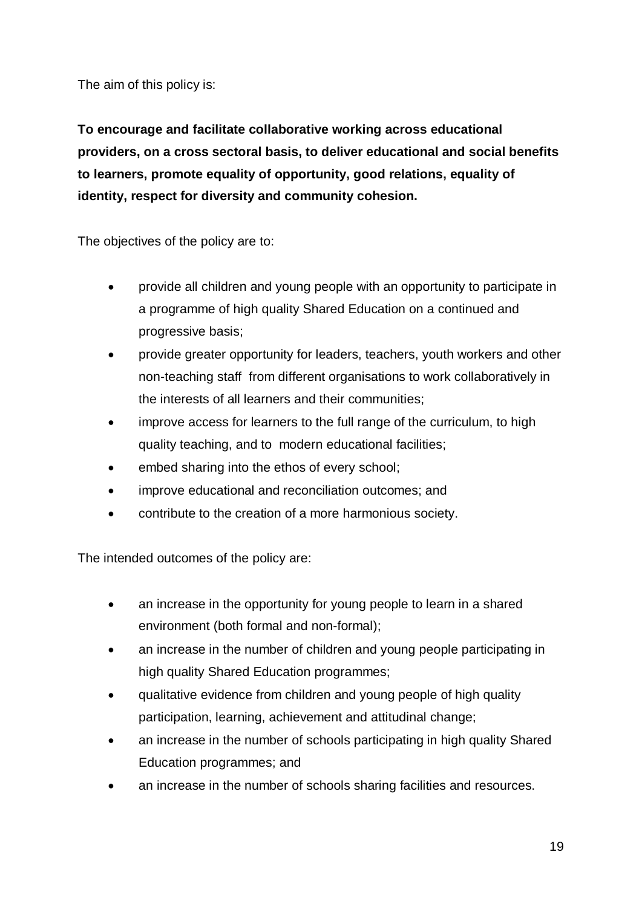The aim of this policy is:

**To encourage and facilitate collaborative working across educational providers, on a cross sectoral basis, to deliver educational and social benefits to learners, promote equality of opportunity, good relations, equality of identity, respect for diversity and community cohesion.**

The objectives of the policy are to:

- provide all children and young people with an opportunity to participate in a programme of high quality Shared Education on a continued and progressive basis;
- provide greater opportunity for leaders, teachers, youth workers and other non-teaching staff from different organisations to work collaboratively in the interests of all learners and their communities;
- improve access for learners to the full range of the curriculum, to high quality teaching, and to modern educational facilities;
- embed sharing into the ethos of every school;
- improve educational and reconciliation outcomes; and
- contribute to the creation of a more harmonious society.

The intended outcomes of the policy are:

- an increase in the opportunity for young people to learn in a shared environment (both formal and non-formal);
- an increase in the number of children and young people participating in high quality Shared Education programmes;
- qualitative evidence from children and young people of high quality participation, learning, achievement and attitudinal change;
- an increase in the number of schools participating in high quality Shared Education programmes; and
- an increase in the number of schools sharing facilities and resources.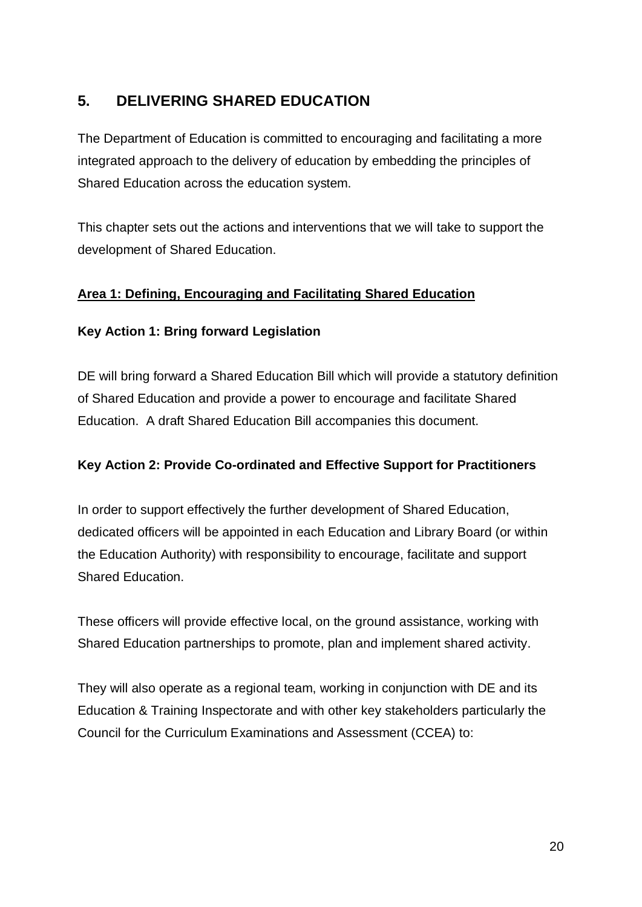# **5. DELIVERING SHARED EDUCATION**

The Department of Education is committed to encouraging and facilitating a more integrated approach to the delivery of education by embedding the principles of Shared Education across the education system.

This chapter sets out the actions and interventions that we will take to support the development of Shared Education.

#### **Area 1: Defining, Encouraging and Facilitating Shared Education**

#### **Key Action 1: Bring forward Legislation**

DE will bring forward a Shared Education Bill which will provide a statutory definition of Shared Education and provide a power to encourage and facilitate Shared Education. A draft Shared Education Bill accompanies this document.

#### **Key Action 2: Provide Co-ordinated and Effective Support for Practitioners**

In order to support effectively the further development of Shared Education, dedicated officers will be appointed in each Education and Library Board (or within the Education Authority) with responsibility to encourage, facilitate and support Shared Education.

These officers will provide effective local, on the ground assistance, working with Shared Education partnerships to promote, plan and implement shared activity.

They will also operate as a regional team, working in conjunction with DE and its Education & Training Inspectorate and with other key stakeholders particularly the Council for the Curriculum Examinations and Assessment (CCEA) to: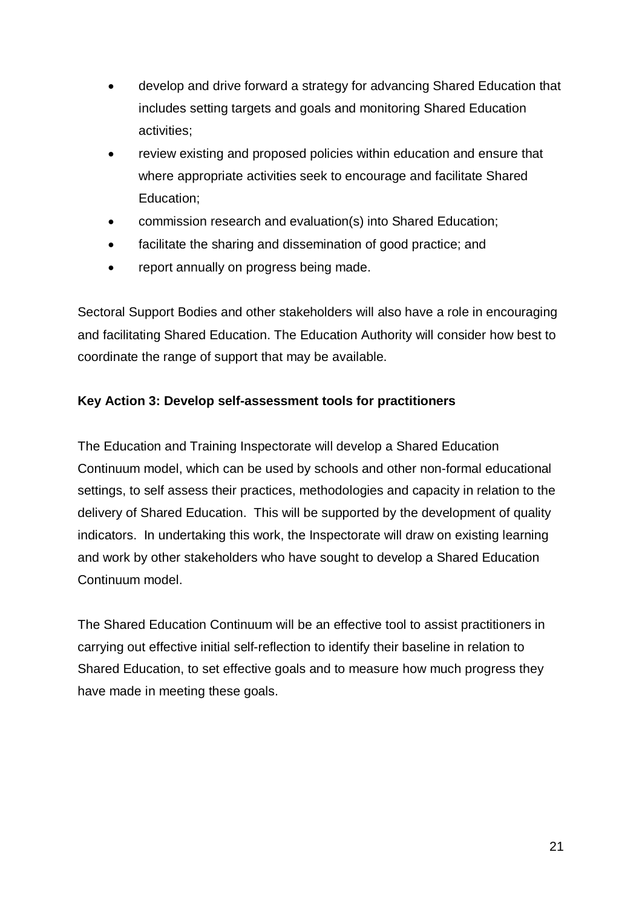- develop and drive forward a strategy for advancing Shared Education that includes setting targets and goals and monitoring Shared Education activities;
- review existing and proposed policies within education and ensure that where appropriate activities seek to encourage and facilitate Shared Education;
- commission research and evaluation(s) into Shared Education;
- facilitate the sharing and dissemination of good practice; and
- report annually on progress being made.

Sectoral Support Bodies and other stakeholders will also have a role in encouraging and facilitating Shared Education. The Education Authority will consider how best to coordinate the range of support that may be available.

#### **Key Action 3: Develop self-assessment tools for practitioners**

The Education and Training Inspectorate will develop a Shared Education Continuum model, which can be used by schools and other non-formal educational settings, to self assess their practices, methodologies and capacity in relation to the delivery of Shared Education. This will be supported by the development of quality indicators. In undertaking this work, the Inspectorate will draw on existing learning and work by other stakeholders who have sought to develop a Shared Education Continuum model.

The Shared Education Continuum will be an effective tool to assist practitioners in carrying out effective initial self-reflection to identify their baseline in relation to Shared Education, to set effective goals and to measure how much progress they have made in meeting these goals.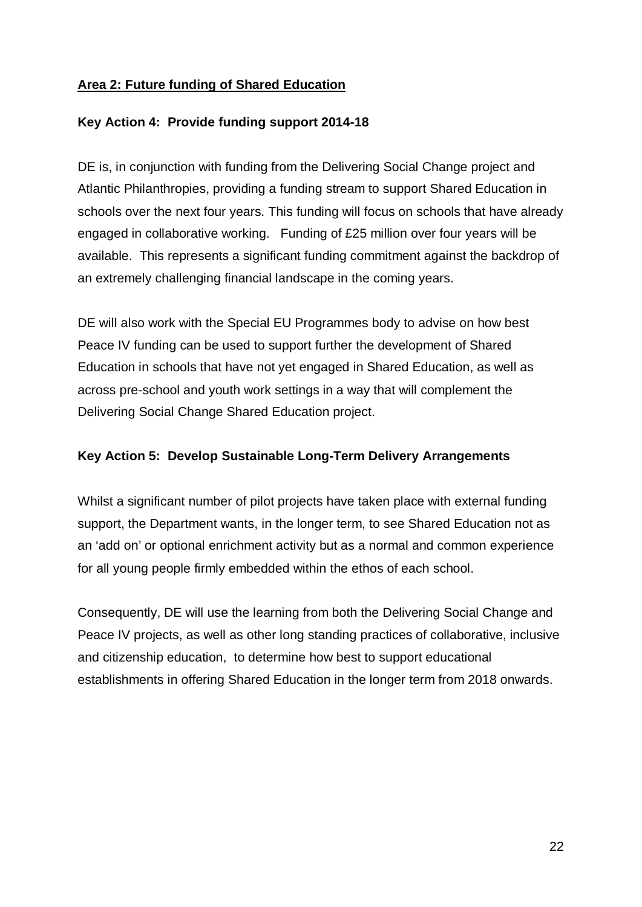#### **Area 2: Future funding of Shared Education**

#### **Key Action 4: Provide funding support 2014-18**

DE is, in conjunction with funding from the Delivering Social Change project and Atlantic Philanthropies, providing a funding stream to support Shared Education in schools over the next four years. This funding will focus on schools that have already engaged in collaborative working. Funding of £25 million over four years will be available. This represents a significant funding commitment against the backdrop of an extremely challenging financial landscape in the coming years.

DE will also work with the Special EU Programmes body to advise on how best Peace IV funding can be used to support further the development of Shared Education in schools that have not yet engaged in Shared Education, as well as across pre-school and youth work settings in a way that will complement the Delivering Social Change Shared Education project.

#### **Key Action 5: Develop Sustainable Long-Term Delivery Arrangements**

Whilst a significant number of pilot projects have taken place with external funding support, the Department wants, in the longer term, to see Shared Education not as an 'add on' or optional enrichment activity but as a normal and common experience for all young people firmly embedded within the ethos of each school.

Consequently, DE will use the learning from both the Delivering Social Change and Peace IV projects, as well as other long standing practices of collaborative, inclusive and citizenship education, to determine how best to support educational establishments in offering Shared Education in the longer term from 2018 onwards.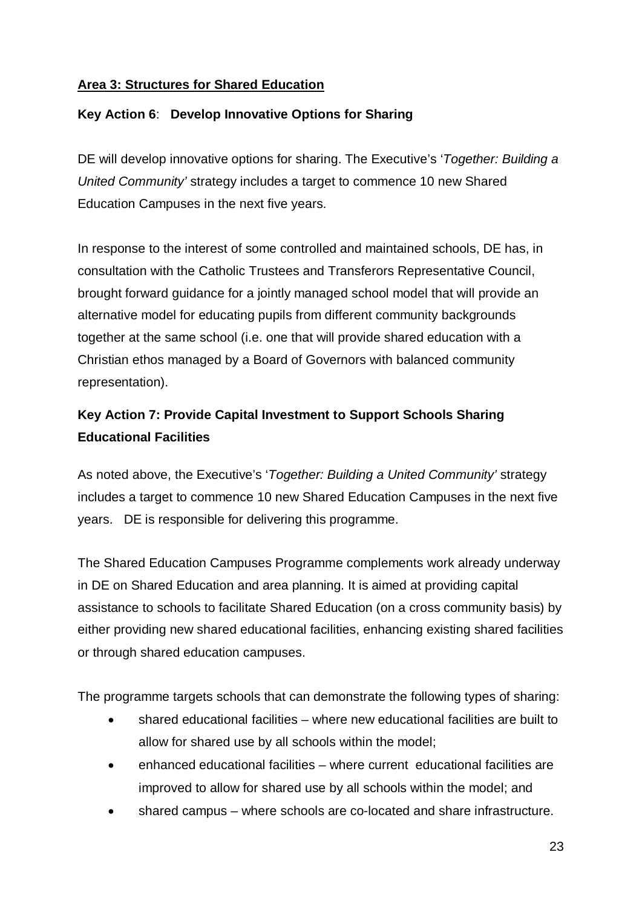#### **Area 3: Structures for Shared Education**

#### **Key Action 6**: **Develop Innovative Options for Sharing**

DE will develop innovative options for sharing. The Executive's '*Together: Building a United Community'* strategy includes a target to commence 10 new Shared Education Campuses in the next five years.

In response to the interest of some controlled and maintained schools, DE has, in consultation with the Catholic Trustees and Transferors Representative Council, brought forward guidance for a jointly managed school model that will provide an alternative model for educating pupils from different community backgrounds together at the same school (i.e. one that will provide shared education with a Christian ethos managed by a Board of Governors with balanced community representation).

# **Key Action 7: Provide Capital Investment to Support Schools Sharing Educational Facilities**

As noted above, the Executive's '*Together: Building a United Community'* strategy includes a target to commence 10 new Shared Education Campuses in the next five years. DE is responsible for delivering this programme.

The Shared Education Campuses Programme complements work already underway in DE on Shared Education and area planning. It is aimed at providing capital assistance to schools to facilitate Shared Education (on a cross community basis) by either providing new shared educational facilities, enhancing existing shared facilities or through shared education campuses.

The programme targets schools that can demonstrate the following types of sharing:

- shared educational facilities where new educational facilities are built to allow for shared use by all schools within the model;
- enhanced educational facilities where current educational facilities are improved to allow for shared use by all schools within the model; and
- shared campus where schools are co-located and share infrastructure.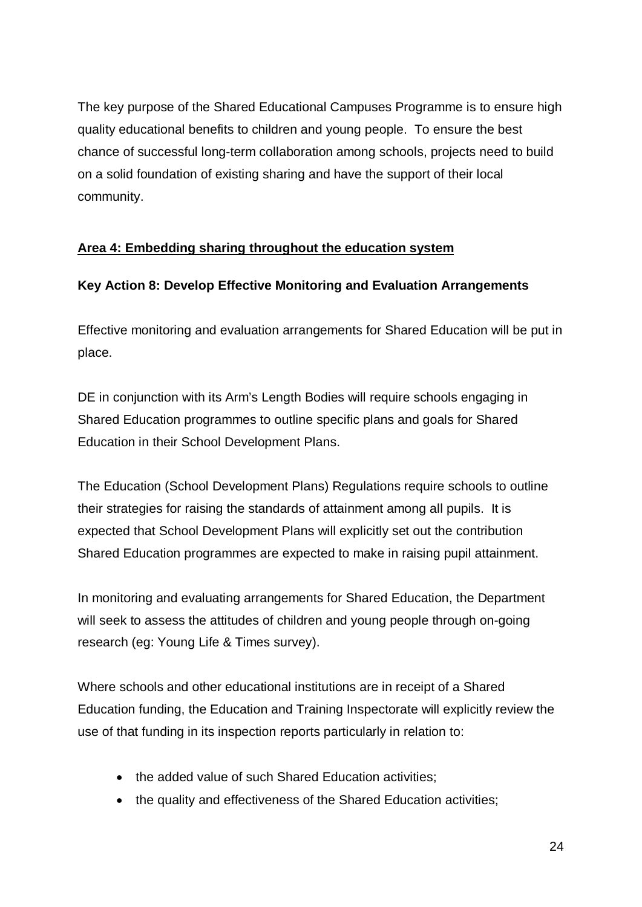The key purpose of the Shared Educational Campuses Programme is to ensure high quality educational benefits to children and young people. To ensure the best chance of successful long-term collaboration among schools, projects need to build on a solid foundation of existing sharing and have the support of their local community.

#### **Area 4: Embedding sharing throughout the education system**

#### **Key Action 8: Develop Effective Monitoring and Evaluation Arrangements**

Effective monitoring and evaluation arrangements for Shared Education will be put in place.

DE in conjunction with its Arm's Length Bodies will require schools engaging in Shared Education programmes to outline specific plans and goals for Shared Education in their School Development Plans.

The Education (School Development Plans) Regulations require schools to outline their strategies for raising the standards of attainment among all pupils. It is expected that School Development Plans will explicitly set out the contribution Shared Education programmes are expected to make in raising pupil attainment.

In monitoring and evaluating arrangements for Shared Education, the Department will seek to assess the attitudes of children and young people through on-going research (eg: Young Life & Times survey).

Where schools and other educational institutions are in receipt of a Shared Education funding, the Education and Training Inspectorate will explicitly review the use of that funding in its inspection reports particularly in relation to:

- the added value of such Shared Education activities;
- the quality and effectiveness of the Shared Education activities;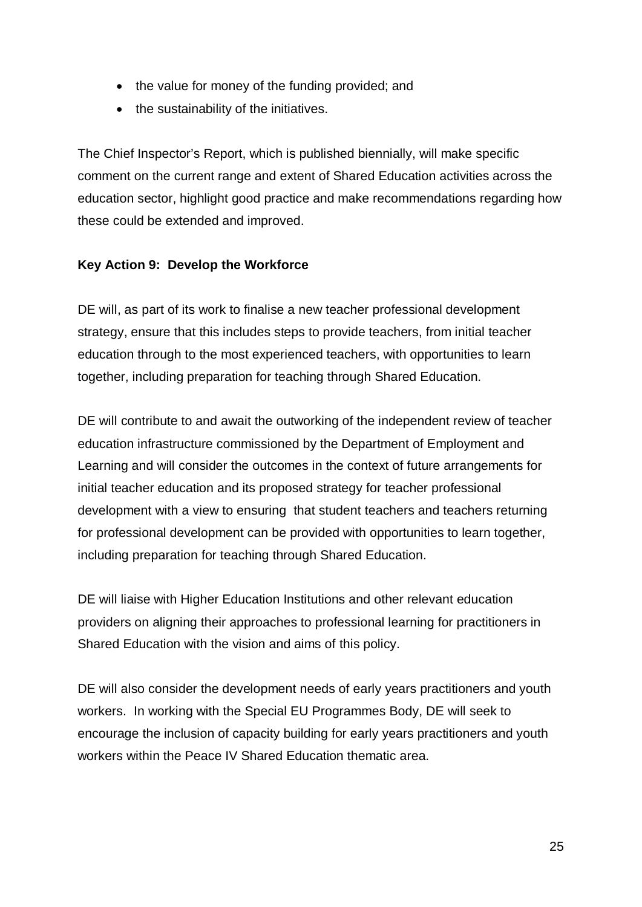- the value for money of the funding provided; and
- the sustainability of the initiatives.

The Chief Inspector's Report, which is published biennially, will make specific comment on the current range and extent of Shared Education activities across the education sector, highlight good practice and make recommendations regarding how these could be extended and improved.

#### **Key Action 9: Develop the Workforce**

DE will, as part of its work to finalise a new teacher professional development strategy, ensure that this includes steps to provide teachers, from initial teacher education through to the most experienced teachers, with opportunities to learn together, including preparation for teaching through Shared Education.

DE will contribute to and await the outworking of the independent review of teacher education infrastructure commissioned by the Department of Employment and Learning and will consider the outcomes in the context of future arrangements for initial teacher education and its proposed strategy for teacher professional development with a view to ensuring that student teachers and teachers returning for professional development can be provided with opportunities to learn together, including preparation for teaching through Shared Education.

DE will liaise with Higher Education Institutions and other relevant education providers on aligning their approaches to professional learning for practitioners in Shared Education with the vision and aims of this policy.

DE will also consider the development needs of early years practitioners and youth workers. In working with the Special EU Programmes Body, DE will seek to encourage the inclusion of capacity building for early years practitioners and youth workers within the Peace IV Shared Education thematic area.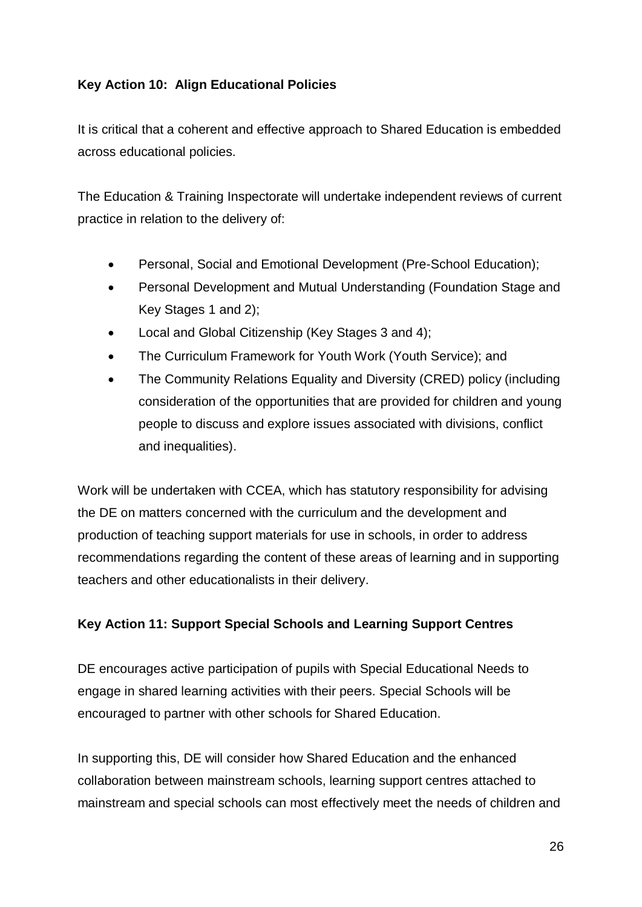#### **Key Action 10: Align Educational Policies**

It is critical that a coherent and effective approach to Shared Education is embedded across educational policies.

The Education & Training Inspectorate will undertake independent reviews of current practice in relation to the delivery of:

- Personal, Social and Emotional Development (Pre-School Education);
- Personal Development and Mutual Understanding (Foundation Stage and Key Stages 1 and 2);
- Local and Global Citizenship (Key Stages 3 and 4);
- The Curriculum Framework for Youth Work (Youth Service); and
- The Community Relations Equality and Diversity (CRED) policy (including consideration of the opportunities that are provided for children and young people to discuss and explore issues associated with divisions, conflict and inequalities).

Work will be undertaken with CCEA, which has statutory responsibility for advising the DE on matters concerned with the curriculum and the development and production of teaching support materials for use in schools, in order to address recommendations regarding the content of these areas of learning and in supporting teachers and other educationalists in their delivery.

#### **Key Action 11: Support Special Schools and Learning Support Centres**

DE encourages active participation of pupils with Special Educational Needs to engage in shared learning activities with their peers. Special Schools will be encouraged to partner with other schools for Shared Education.

In supporting this, DE will consider how Shared Education and the enhanced collaboration between mainstream schools, learning support centres attached to mainstream and special schools can most effectively meet the needs of children and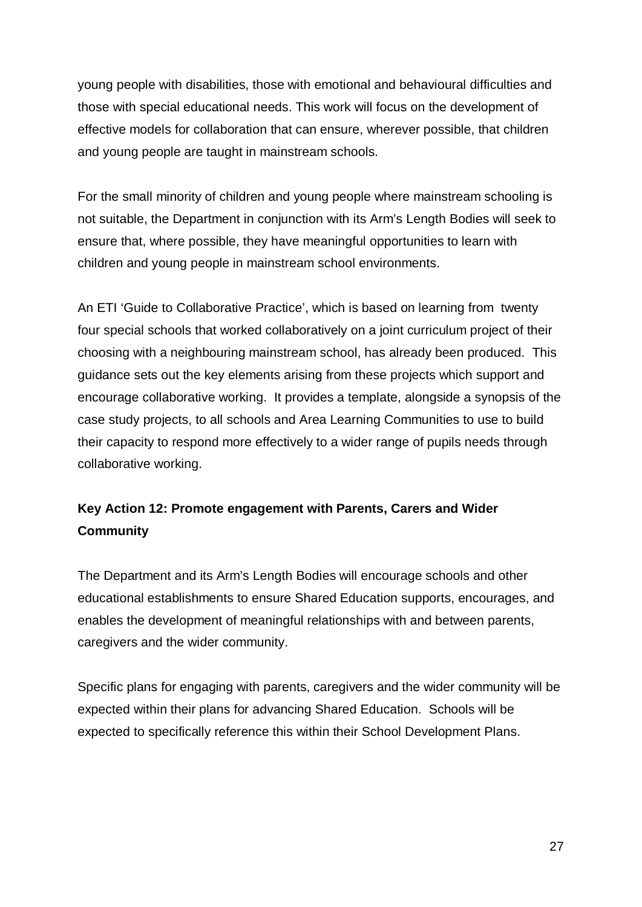young people with disabilities, those with emotional and behavioural difficulties and those with special educational needs. This work will focus on the development of effective models for collaboration that can ensure, wherever possible, that children and young people are taught in mainstream schools.

For the small minority of children and young people where mainstream schooling is not suitable, the Department in conjunction with its Arm's Length Bodies will seek to ensure that, where possible, they have meaningful opportunities to learn with children and young people in mainstream school environments.

An ETI 'Guide to Collaborative Practice', which is based on learning from twenty four special schools that worked collaboratively on a joint curriculum project of their choosing with a neighbouring mainstream school, has already been produced. This guidance sets out the key elements arising from these projects which support and encourage collaborative working. It provides a template, alongside a synopsis of the case study projects, to all schools and Area Learning Communities to use to build their capacity to respond more effectively to a wider range of pupils needs through collaborative working.

# **Key Action 12: Promote engagement with Parents, Carers and Wider Community**

The Department and its Arm's Length Bodies will encourage schools and other educational establishments to ensure Shared Education supports, encourages, and enables the development of meaningful relationships with and between parents, caregivers and the wider community.

Specific plans for engaging with parents, caregivers and the wider community will be expected within their plans for advancing Shared Education. Schools will be expected to specifically reference this within their School Development Plans.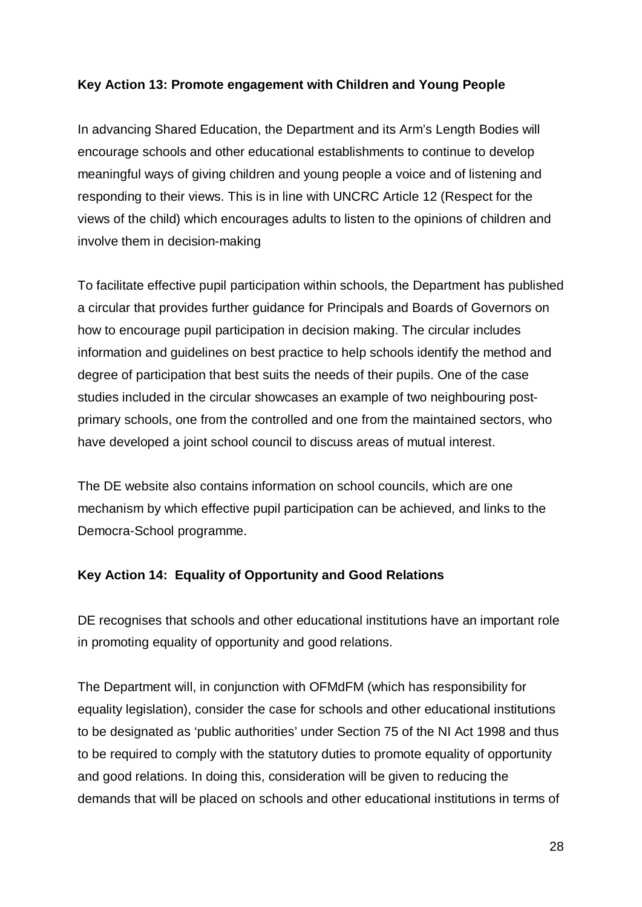#### **Key Action 13: Promote engagement with Children and Young People**

In advancing Shared Education, the Department and its Arm's Length Bodies will encourage schools and other educational establishments to continue to develop meaningful ways of giving children and young people a voice and of listening and responding to their views. This is in line with UNCRC Article 12 (Respect for the views of the child) which encourages adults to listen to the opinions of children and involve them in decision-making

To facilitate effective pupil participation within schools, the Department has published a circular that provides further guidance for Principals and Boards of Governors on how to encourage pupil participation in decision making. The circular includes information and guidelines on best practice to help schools identify the method and degree of participation that best suits the needs of their pupils. One of the case studies included in the circular showcases an example of two neighbouring postprimary schools, one from the controlled and one from the maintained sectors, who have developed a joint school council to discuss areas of mutual interest.

The DE website also contains information on school councils, which are one mechanism by which effective pupil participation can be achieved, and links to the Democra-School programme.

#### **Key Action 14: Equality of Opportunity and Good Relations**

DE recognises that schools and other educational institutions have an important role in promoting equality of opportunity and good relations.

The Department will, in conjunction with OFMdFM (which has responsibility for equality legislation), consider the case for schools and other educational institutions to be designated as 'public authorities' under Section 75 of the NI Act 1998 and thus to be required to comply with the statutory duties to promote equality of opportunity and good relations. In doing this, consideration will be given to reducing the demands that will be placed on schools and other educational institutions in terms of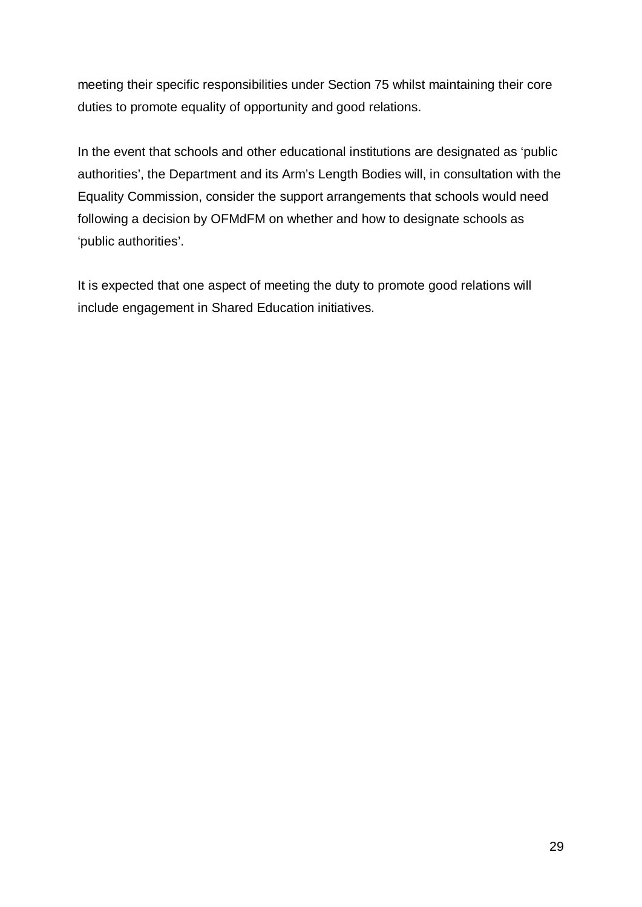meeting their specific responsibilities under Section 75 whilst maintaining their core duties to promote equality of opportunity and good relations.

In the event that schools and other educational institutions are designated as 'public authorities', the Department and its Arm's Length Bodies will, in consultation with the Equality Commission, consider the support arrangements that schools would need following a decision by OFMdFM on whether and how to designate schools as 'public authorities'.

It is expected that one aspect of meeting the duty to promote good relations will include engagement in Shared Education initiatives.